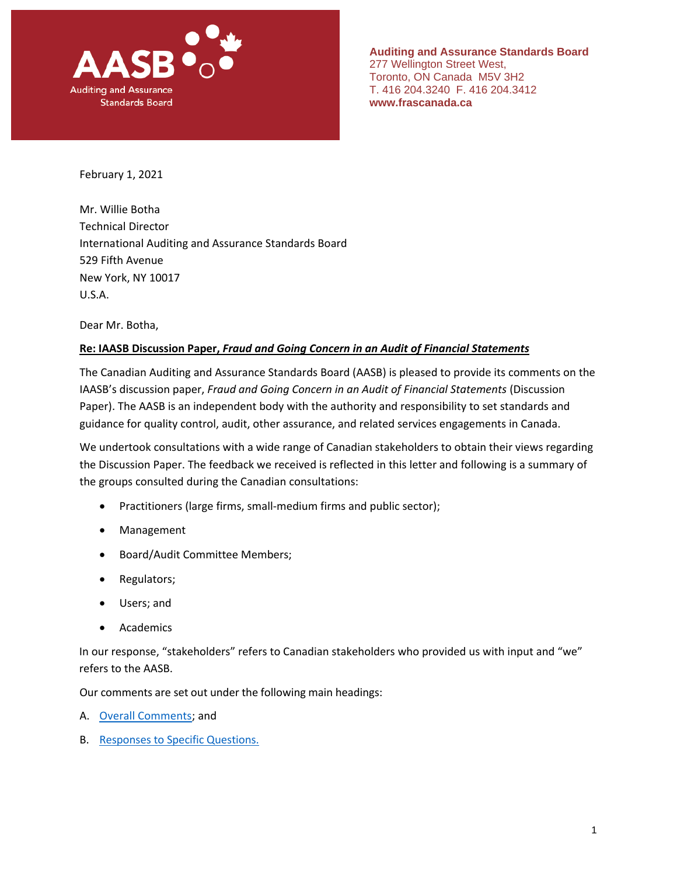

**Auditing and Assurance Standards Board** 277 Wellington Street West, Toronto, ON Canada M5V 3H2 T. 416 204.3240 F. 416 204.3412 **www.frascanada.ca**

February 1, 2021

Mr. Willie Botha Technical Director International Auditing and Assurance Standards Board 529 Fifth Avenue New York, NY 10017 U.S.A.

Dear Mr. Botha,

#### **Re: IAASB Discussion Paper,** *Fraud and Going Concern in an Audit of Financial Statements*

The Canadian Auditing and Assurance Standards Board (AASB) is pleased to provide its comments on the IAASB's discussion paper, *Fraud and Going Concern in an Audit of Financial Statements* (Discussion Paper). The AASB is an independent body with the authority and responsibility to set standards and guidance for quality control, audit, other assurance, and related services engagements in Canada.

We undertook consultations with a wide range of Canadian stakeholders to obtain their views regarding the Discussion Paper. The feedback we received is reflected in this letter and following is a summary of the groups consulted during the Canadian consultations:

- Practitioners (large firms, small-medium firms and public sector);
- Management
- Board/Audit Committee Members;
- Regulators;
- Users; and
- **Academics**

In our response, "stakeholders" refers to Canadian stakeholders who provided us with input and "we" refers to the AASB.

Our comments are set out under the following main headings:

- A. Overall Comments; and
- B. Responses to Specific Questions.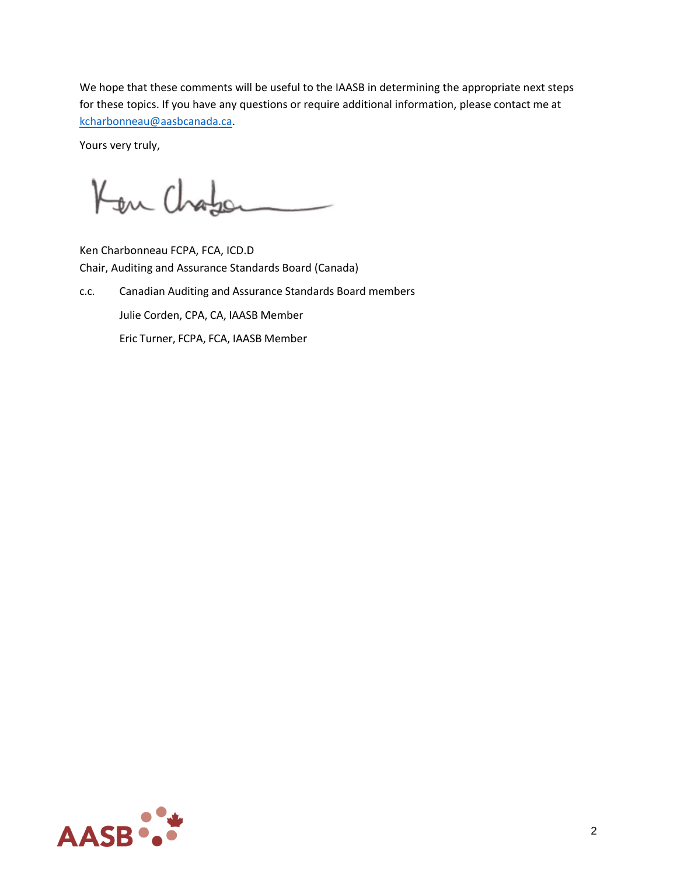We hope that these comments will be useful to the IAASB in determining the appropriate next steps for these topics. If you have any questions or require additional information, please contact me at [kcharbonneau@aasbcanada.ca.](mailto:kcharbonneau@aasbcanada.ca)

Yours very truly,

Ken Chaber

Ken Charbonneau FCPA, FCA, ICD.D Chair, Auditing and Assurance Standards Board (Canada)

c.c. Canadian Auditing and Assurance Standards Board members Julie Corden, CPA, CA, IAASB Member Eric Turner, FCPA, FCA, IAASB Member

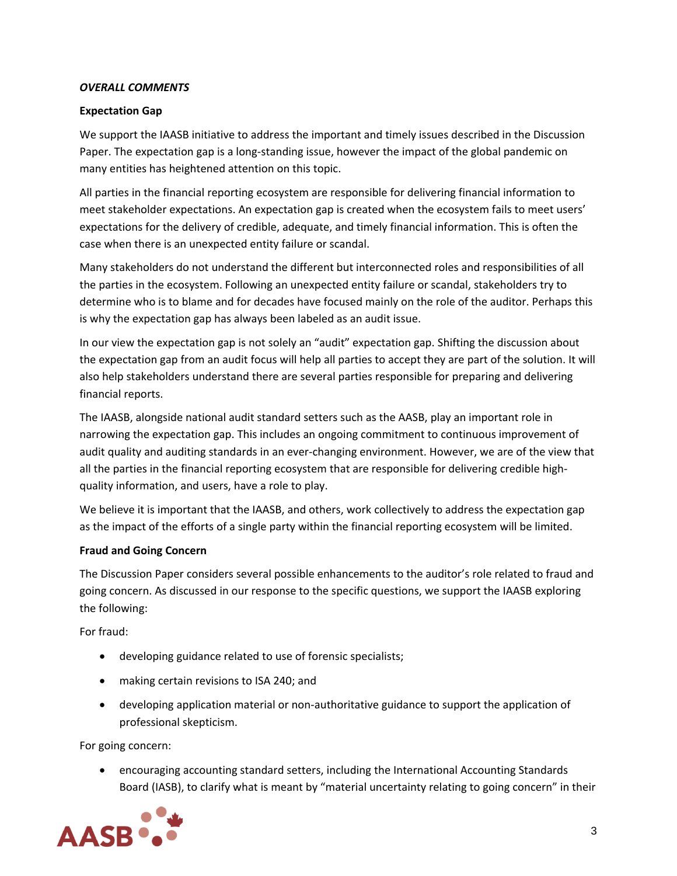## *OVERALL COMMENTS*

## **Expectation Gap**

We support the IAASB initiative to address the important and timely issues described in the Discussion Paper. The expectation gap is a long-standing issue, however the impact of the global pandemic on many entities has heightened attention on this topic.

All parties in the financial reporting ecosystem are responsible for delivering financial information to meet stakeholder expectations. An expectation gap is created when the ecosystem fails to meet users' expectations for the delivery of credible, adequate, and timely financial information. This is often the case when there is an unexpected entity failure or scandal.

Many stakeholders do not understand the different but interconnected roles and responsibilities of all the parties in the ecosystem. Following an unexpected entity failure or scandal, stakeholders try to determine who is to blame and for decades have focused mainly on the role of the auditor. Perhaps this is why the expectation gap has always been labeled as an audit issue.

In our view the expectation gap is not solely an "audit" expectation gap. Shifting the discussion about the expectation gap from an audit focus will help all parties to accept they are part of the solution. It will also help stakeholders understand there are several parties responsible for preparing and delivering financial reports.

The IAASB, alongside national audit standard setters such as the AASB, play an important role in narrowing the expectation gap. This includes an ongoing commitment to continuous improvement of audit quality and auditing standards in an ever-changing environment. However, we are of the view that all the parties in the financial reporting ecosystem that are responsible for delivering credible highquality information, and users, have a role to play.

We believe it is important that the IAASB, and others, work collectively to address the expectation gap as the impact of the efforts of a single party within the financial reporting ecosystem will be limited.

## **Fraud and Going Concern**

The Discussion Paper considers several possible enhancements to the auditor's role related to fraud and going concern. As discussed in our response to the specific questions, we support the IAASB exploring the following:

For fraud:

- developing guidance related to use of forensic specialists;
- making certain revisions to ISA 240; and
- developing application material or non-authoritative guidance to support the application of professional skepticism.

For going concern:

• encouraging accounting standard setters, including the International Accounting Standards Board (IASB), to clarify what is meant by "material uncertainty relating to going concern" in their

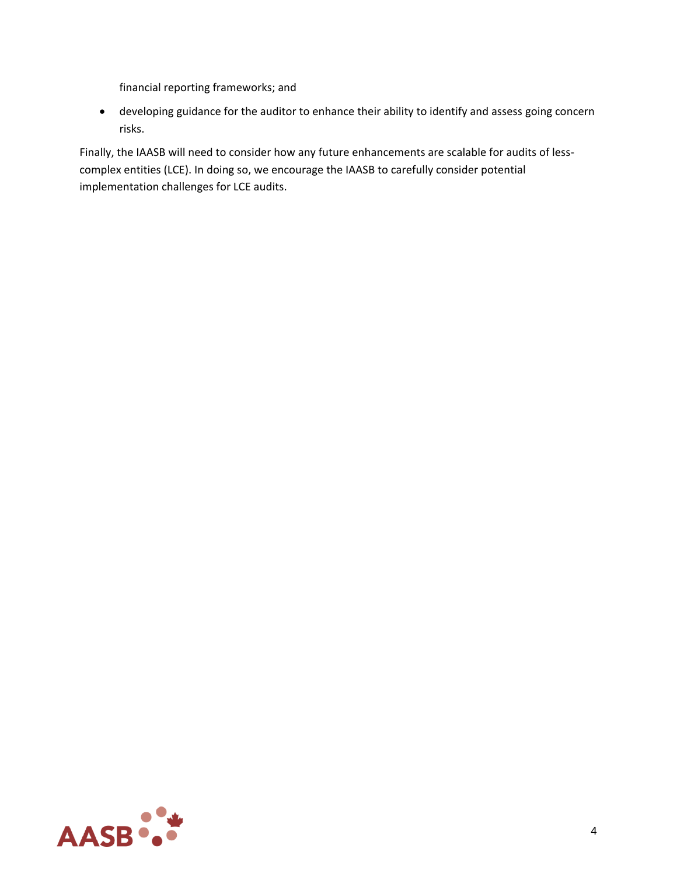financial reporting frameworks; and

• developing guidance for the auditor to enhance their ability to identify and assess going concern risks.

Finally, the IAASB will need to consider how any future enhancements are scalable for audits of lesscomplex entities (LCE). In doing so, we encourage the IAASB to carefully consider potential implementation challenges for LCE audits.

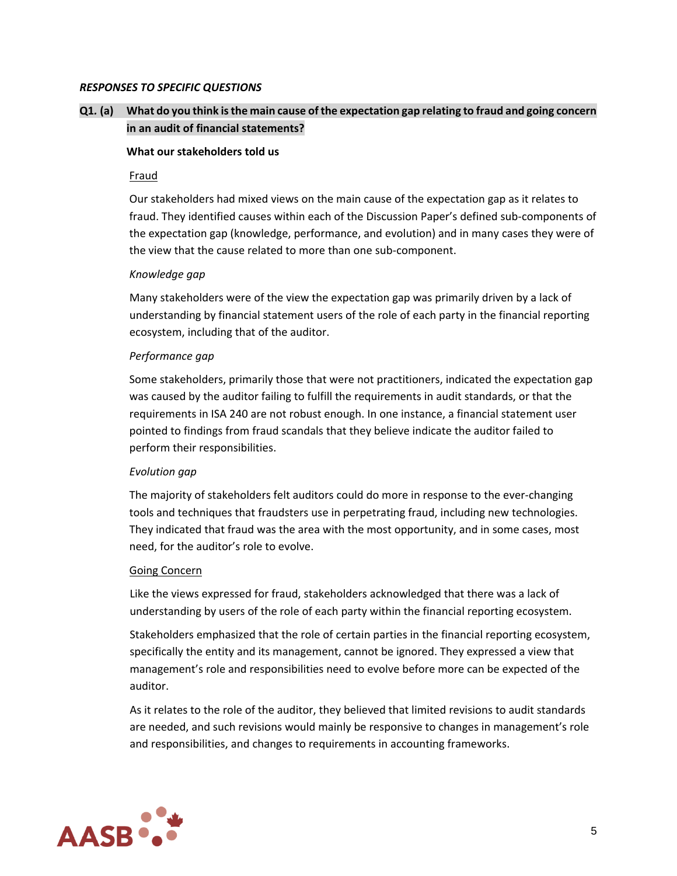#### *RESPONSES TO SPECIFIC QUESTIONS*

# **Q1***.* **(a) What do you think is the main cause of the expectation gap relating to fraud and going concern in an audit of financial statements?**

#### **What our stakeholders told us**

#### Fraud

Our stakeholders had mixed views on the main cause of the expectation gap as it relates to fraud. They identified causes within each of the Discussion Paper's defined sub-components of the expectation gap (knowledge, performance, and evolution) and in many cases they were of the view that the cause related to more than one sub-component.

#### *Knowledge gap*

Many stakeholders were of the view the expectation gap was primarily driven by a lack of understanding by financial statement users of the role of each party in the financial reporting ecosystem, including that of the auditor.

#### *Performance gap*

Some stakeholders, primarily those that were not practitioners, indicated the expectation gap was caused by the auditor failing to fulfill the requirements in audit standards, or that the requirements in ISA 240 are not robust enough. In one instance, a financial statement user pointed to findings from fraud scandals that they believe indicate the auditor failed to perform their responsibilities.

## *Evolution gap*

The majority of stakeholders felt auditors could do more in response to the ever-changing tools and techniques that fraudsters use in perpetrating fraud, including new technologies. They indicated that fraud was the area with the most opportunity, and in some cases, most need, for the auditor's role to evolve.

#### Going Concern

Like the views expressed for fraud, stakeholders acknowledged that there was a lack of understanding by users of the role of each party within the financial reporting ecosystem.

Stakeholders emphasized that the role of certain parties in the financial reporting ecosystem, specifically the entity and its management, cannot be ignored. They expressed a view that management's role and responsibilities need to evolve before more can be expected of the auditor.

As it relates to the role of the auditor, they believed that limited revisions to audit standards are needed, and such revisions would mainly be responsive to changes in management's role and responsibilities, and changes to requirements in accounting frameworks.

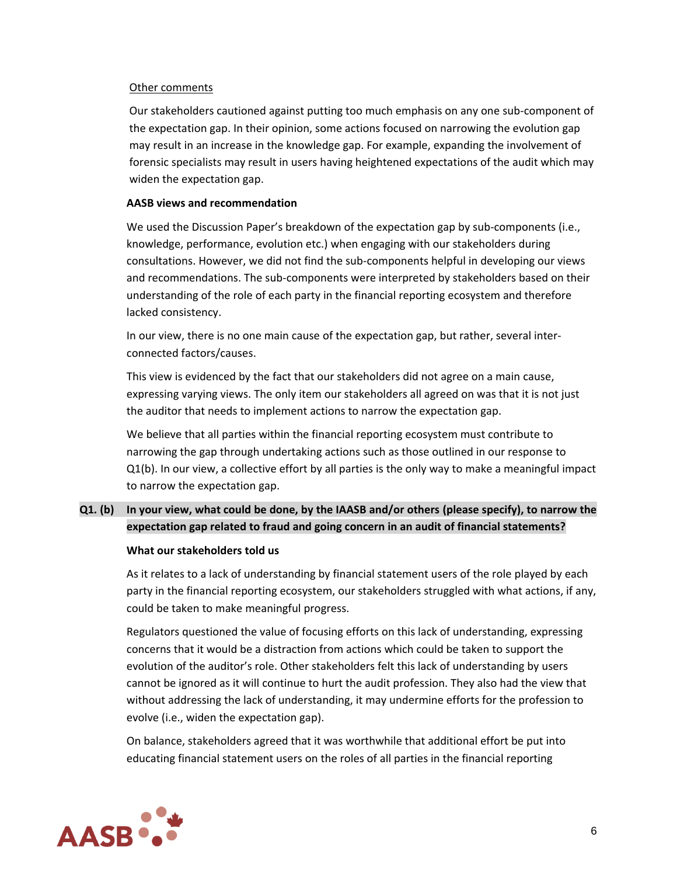#### Other comments

Our stakeholders cautioned against putting too much emphasis on any one sub-component of the expectation gap. In their opinion, some actions focused on narrowing the evolution gap may result in an increase in the knowledge gap. For example, expanding the involvement of forensic specialists may result in users having heightened expectations of the audit which may widen the expectation gap.

## **AASB views and recommendation**

We used the Discussion Paper's breakdown of the expectation gap by sub-components (i.e., knowledge, performance, evolution etc.) when engaging with our stakeholders during consultations. However, we did not find the sub-components helpful in developing our views and recommendations. The sub-components were interpreted by stakeholders based on their understanding of the role of each party in the financial reporting ecosystem and therefore lacked consistency.

In our view, there is no one main cause of the expectation gap, but rather, several interconnected factors/causes.

This view is evidenced by the fact that our stakeholders did not agree on a main cause, expressing varying views. The only item our stakeholders all agreed on was that it is not just the auditor that needs to implement actions to narrow the expectation gap.

We believe that all parties within the financial reporting ecosystem must contribute to narrowing the gap through undertaking actions such as those outlined in our response to Q1(b). In our view, a collective effort by all parties is the only way to make a meaningful impact to narrow the expectation gap.

# **Q1***.* **(b) In your view, what could be done, by the IAASB and/or others (please specify), to narrow the expectation gap related to fraud and going concern in an audit of financial statements?**

## **What our stakeholders told us**

As it relates to a lack of understanding by financial statement users of the role played by each party in the financial reporting ecosystem, our stakeholders struggled with what actions, if any, could be taken to make meaningful progress.

Regulators questioned the value of focusing efforts on this lack of understanding, expressing concerns that it would be a distraction from actions which could be taken to support the evolution of the auditor's role. Other stakeholders felt this lack of understanding by users cannot be ignored as it will continue to hurt the audit profession. They also had the view that without addressing the lack of understanding, it may undermine efforts for the profession to evolve (i.e., widen the expectation gap).

On balance, stakeholders agreed that it was worthwhile that additional effort be put into educating financial statement users on the roles of all parties in the financial reporting

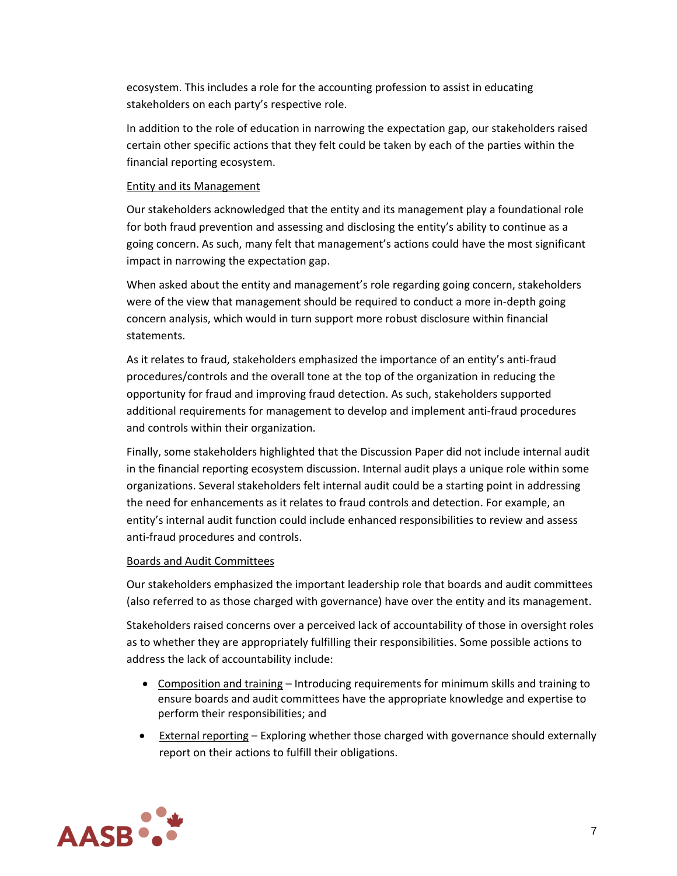ecosystem. This includes a role for the accounting profession to assist in educating stakeholders on each party's respective role.

In addition to the role of education in narrowing the expectation gap, our stakeholders raised certain other specific actions that they felt could be taken by each of the parties within the financial reporting ecosystem.

## Entity and its Management

Our stakeholders acknowledged that the entity and its management play a foundational role for both fraud prevention and assessing and disclosing the entity's ability to continue as a going concern. As such, many felt that management's actions could have the most significant impact in narrowing the expectation gap.

When asked about the entity and management's role regarding going concern, stakeholders were of the view that management should be required to conduct a more in-depth going concern analysis, which would in turn support more robust disclosure within financial statements.

As it relates to fraud, stakeholders emphasized the importance of an entity's anti-fraud procedures/controls and the overall tone at the top of the organization in reducing the opportunity for fraud and improving fraud detection. As such, stakeholders supported additional requirements for management to develop and implement anti-fraud procedures and controls within their organization.

Finally, some stakeholders highlighted that the Discussion Paper did not include internal audit in the financial reporting ecosystem discussion. Internal audit plays a unique role within some organizations. Several stakeholders felt internal audit could be a starting point in addressing the need for enhancements as it relates to fraud controls and detection. For example, an entity's internal audit function could include enhanced responsibilities to review and assess anti-fraud procedures and controls.

## Boards and Audit Committees

Our stakeholders emphasized the important leadership role that boards and audit committees (also referred to as those charged with governance) have over the entity and its management.

Stakeholders raised concerns over a perceived lack of accountability of those in oversight roles as to whether they are appropriately fulfilling their responsibilities. Some possible actions to address the lack of accountability include:

- Composition and training Introducing requirements for minimum skills and training to ensure boards and audit committees have the appropriate knowledge and expertise to perform their responsibilities; and
- External reporting Exploring whether those charged with governance should externally report on their actions to fulfill their obligations.

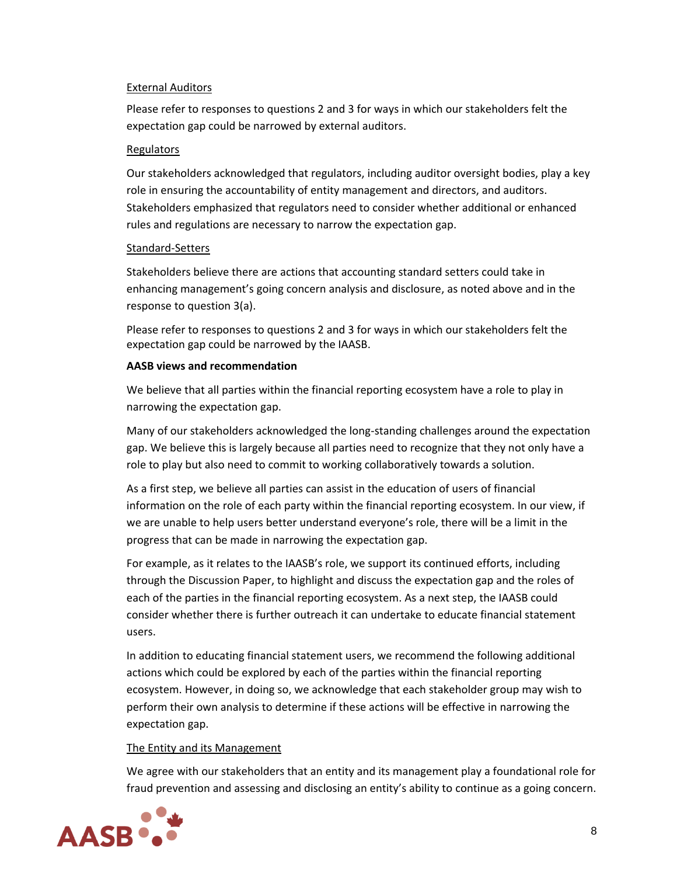## External Auditors

Please refer to responses to questions 2 and 3 for ways in which our stakeholders felt the expectation gap could be narrowed by external auditors.

## Regulators

Our stakeholders acknowledged that regulators, including auditor oversight bodies, play a key role in ensuring the accountability of entity management and directors, and auditors. Stakeholders emphasized that regulators need to consider whether additional or enhanced rules and regulations are necessary to narrow the expectation gap.

## Standard-Setters

Stakeholders believe there are actions that accounting standard setters could take in enhancing management's going concern analysis and disclosure, as noted above and in the response to question 3(a).

Please refer to responses to questions 2 and 3 for ways in which our stakeholders felt the expectation gap could be narrowed by the IAASB.

## **AASB views and recommendation**

We believe that all parties within the financial reporting ecosystem have a role to play in narrowing the expectation gap.

Many of our stakeholders acknowledged the long-standing challenges around the expectation gap. We believe this is largely because all parties need to recognize that they not only have a role to play but also need to commit to working collaboratively towards a solution.

As a first step, we believe all parties can assist in the education of users of financial information on the role of each party within the financial reporting ecosystem. In our view, if we are unable to help users better understand everyone's role, there will be a limit in the progress that can be made in narrowing the expectation gap.

For example, as it relates to the IAASB's role, we support its continued efforts, including through the Discussion Paper, to highlight and discuss the expectation gap and the roles of each of the parties in the financial reporting ecosystem. As a next step, the IAASB could consider whether there is further outreach it can undertake to educate financial statement users.

In addition to educating financial statement users, we recommend the following additional actions which could be explored by each of the parties within the financial reporting ecosystem. However, in doing so, we acknowledge that each stakeholder group may wish to perform their own analysis to determine if these actions will be effective in narrowing the expectation gap.

# The Entity and its Management

We agree with our stakeholders that an entity and its management play a foundational role for fraud prevention and assessing and disclosing an entity's ability to continue as a going concern.

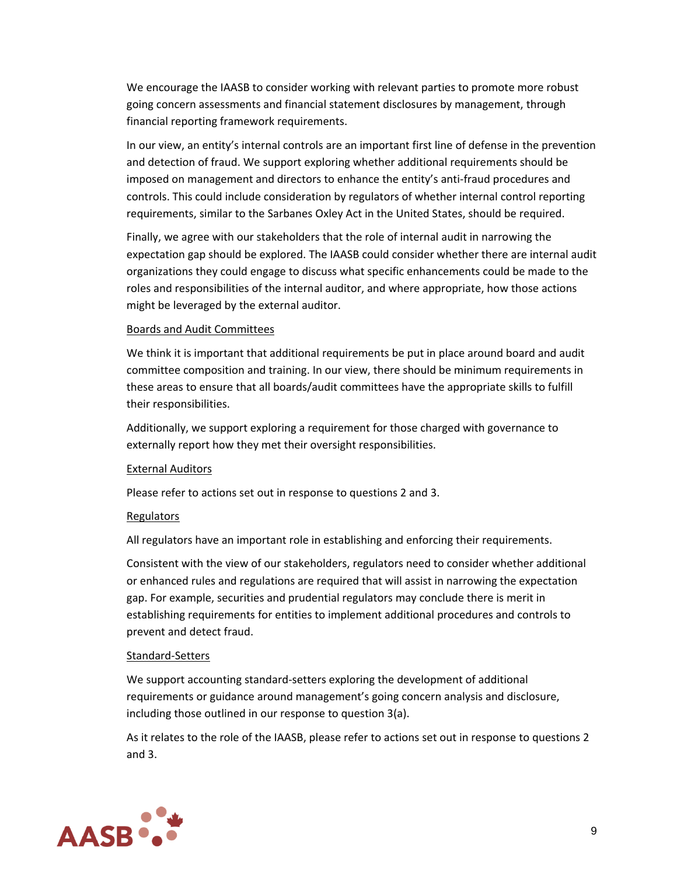We encourage the IAASB to consider working with relevant parties to promote more robust going concern assessments and financial statement disclosures by management, through financial reporting framework requirements.

In our view, an entity's internal controls are an important first line of defense in the prevention and detection of fraud. We support exploring whether additional requirements should be imposed on management and directors to enhance the entity's anti-fraud procedures and controls. This could include consideration by regulators of whether internal control reporting requirements, similar to the Sarbanes Oxley Act in the United States, should be required.

Finally, we agree with our stakeholders that the role of internal audit in narrowing the expectation gap should be explored. The IAASB could consider whether there are internal audit organizations they could engage to discuss what specific enhancements could be made to the roles and responsibilities of the internal auditor, and where appropriate, how those actions might be leveraged by the external auditor.

#### Boards and Audit Committees

We think it is important that additional requirements be put in place around board and audit committee composition and training. In our view, there should be minimum requirements in these areas to ensure that all boards/audit committees have the appropriate skills to fulfill their responsibilities.

Additionally, we support exploring a requirement for those charged with governance to externally report how they met their oversight responsibilities.

## External Auditors

Please refer to actions set out in response to questions 2 and 3.

## **Regulators**

All regulators have an important role in establishing and enforcing their requirements.

Consistent with the view of our stakeholders, regulators need to consider whether additional or enhanced rules and regulations are required that will assist in narrowing the expectation gap. For example, securities and prudential regulators may conclude there is merit in establishing requirements for entities to implement additional procedures and controls to prevent and detect fraud.

## Standard-Setters

We support accounting standard-setters exploring the development of additional requirements or guidance around management's going concern analysis and disclosure, including those outlined in our response to question 3(a).

As it relates to the role of the IAASB, please refer to actions set out in response to questions 2 and 3.

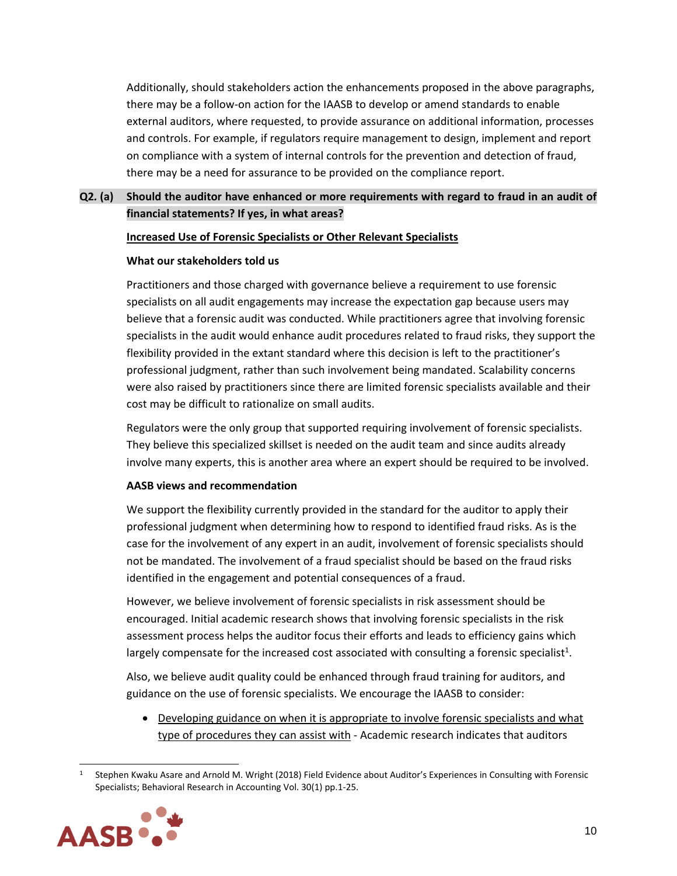Additionally, should stakeholders action the enhancements proposed in the above paragraphs, there may be a follow-on action for the IAASB to develop or amend standards to enable external auditors, where requested, to provide assurance on additional information, processes and controls. For example, if regulators require management to design, implement and report on compliance with a system of internal controls for the prevention and detection of fraud, there may be a need for assurance to be provided on the compliance report.

# **Q2***.* **(a) Should the auditor have enhanced or more requirements with regard to fraud in an audit of financial statements? If yes, in what areas?**

## **Increased Use of Forensic Specialists or Other Relevant Specialists**

#### **What our stakeholders told us**

Practitioners and those charged with governance believe a requirement to use forensic specialists on all audit engagements may increase the expectation gap because users may believe that a forensic audit was conducted. While practitioners agree that involving forensic specialists in the audit would enhance audit procedures related to fraud risks, they support the flexibility provided in the extant standard where this decision is left to the practitioner's professional judgment, rather than such involvement being mandated. Scalability concerns were also raised by practitioners since there are limited forensic specialists available and their cost may be difficult to rationalize on small audits.

Regulators were the only group that supported requiring involvement of forensic specialists. They believe this specialized skillset is needed on the audit team and since audits already involve many experts, this is another area where an expert should be required to be involved.

## **AASB views and recommendation**

We support the flexibility currently provided in the standard for the auditor to apply their professional judgment when determining how to respond to identified fraud risks. As is the case for the involvement of any expert in an audit, involvement of forensic specialists should not be mandated. The involvement of a fraud specialist should be based on the fraud risks identified in the engagement and potential consequences of a fraud.

However, we believe involvement of forensic specialists in risk assessment should be encouraged. Initial academic research shows that involving forensic specialists in the risk assessment process helps the auditor focus their efforts and leads to efficiency gains which largely compensate for the increased cost associated with consulting a forensic specialist<sup>1</sup>.

Also, we believe audit quality could be enhanced through fraud training for auditors, and guidance on the use of forensic specialists. We encourage the IAASB to consider:

• Developing guidance on when it is appropriate to involve forensic specialists and what type of procedures they can assist with - Academic research indicates that auditors

<sup>1</sup> Stephen Kwaku Asare and Arnold M. Wright (2018) Field Evidence about Auditor's Experiences in Consulting with Forensic Specialists; Behavioral Research in Accounting Vol. 30(1) pp.1-25.

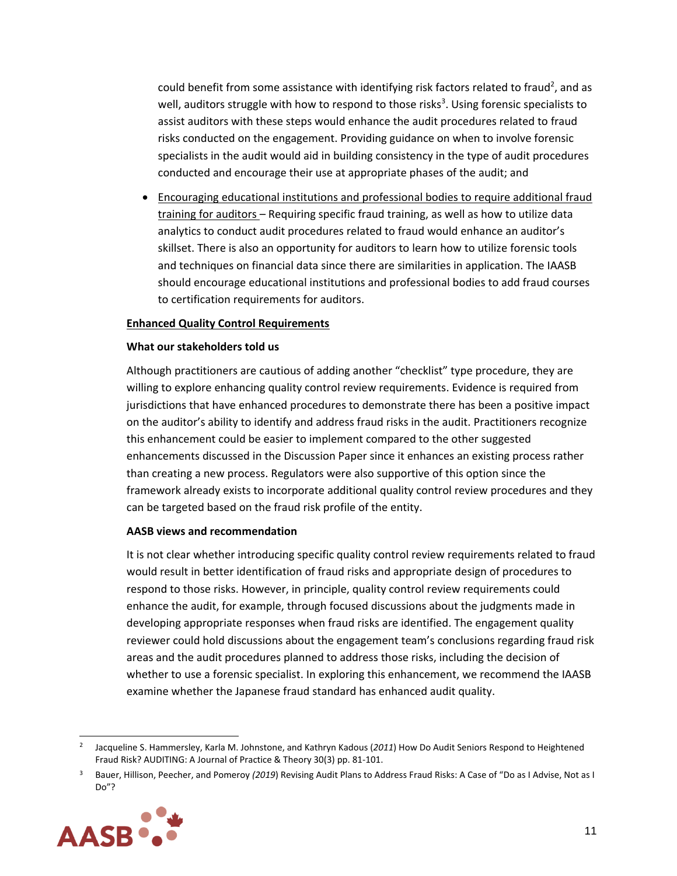could benefit from some assistance with identifying risk factors related to fraud<sup>2</sup>, and as well, auditors struggle with how to respond to those risks<sup>3</sup>. Using forensic specialists to assist auditors with these steps would enhance the audit procedures related to fraud risks conducted on the engagement. Providing guidance on when to involve forensic specialists in the audit would aid in building consistency in the type of audit procedures conducted and encourage their use at appropriate phases of the audit; and

• Encouraging educational institutions and professional bodies to require additional fraud training for auditors – Requiring specific fraud training, as well as how to utilize data analytics to conduct audit procedures related to fraud would enhance an auditor's skillset. There is also an opportunity for auditors to learn how to utilize forensic tools and techniques on financial data since there are similarities in application. The IAASB should encourage educational institutions and professional bodies to add fraud courses to certification requirements for auditors.

## **Enhanced Quality Control Requirements**

#### **What our stakeholders told us**

Although practitioners are cautious of adding another "checklist" type procedure, they are willing to explore enhancing quality control review requirements. Evidence is required from jurisdictions that have enhanced procedures to demonstrate there has been a positive impact on the auditor's ability to identify and address fraud risks in the audit. Practitioners recognize this enhancement could be easier to implement compared to the other suggested enhancements discussed in the Discussion Paper since it enhances an existing process rather than creating a new process. Regulators were also supportive of this option since the framework already exists to incorporate additional quality control review procedures and they can be targeted based on the fraud risk profile of the entity.

#### **AASB views and recommendation**

It is not clear whether introducing specific quality control review requirements related to fraud would result in better identification of fraud risks and appropriate design of procedures to respond to those risks. However, in principle, quality control review requirements could enhance the audit, for example, through focused discussions about the judgments made in developing appropriate responses when fraud risks are identified. The engagement quality reviewer could hold discussions about the engagement team's conclusions regarding fraud risk areas and the audit procedures planned to address those risks, including the decision of whether to use a forensic specialist. In exploring this enhancement, we recommend the IAASB examine whether the Japanese fraud standard has enhanced audit quality.

<sup>3</sup> Bauer, Hillison, Peecher, and Pomeroy *(2019*) Revising Audit Plans to Address Fraud Risks: A Case of "Do as I Advise, Not as I Do"?



<sup>2</sup> Jacqueline S. Hammersley, Karla M. Johnstone, and Kathryn Kadous (*2011*) How Do Audit Seniors Respond to Heightened Fraud Risk? AUDITING: A Journal of Practice & Theory 30(3) pp. 81-101.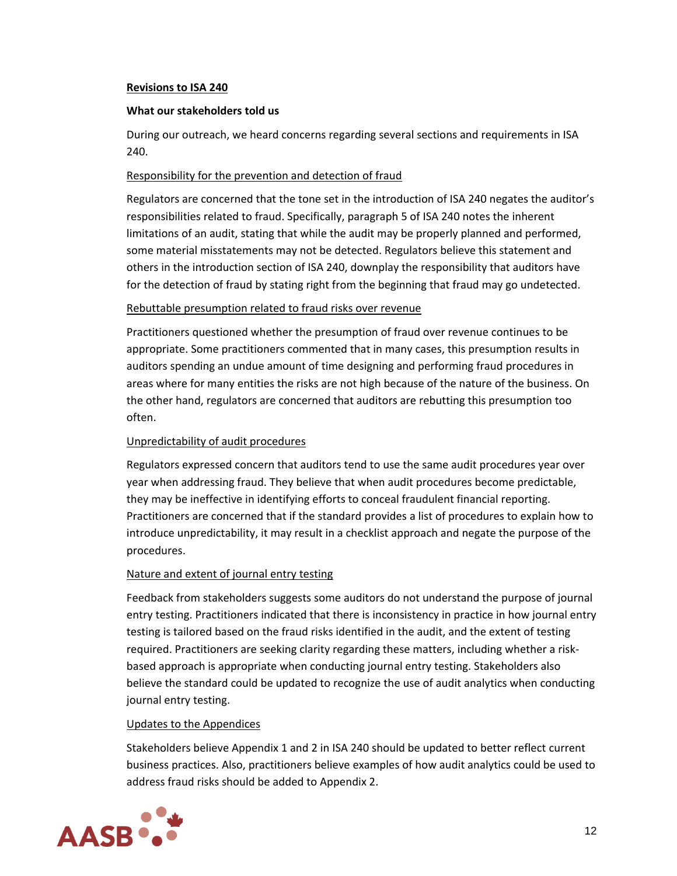## **Revisions to ISA 240**

#### **What our stakeholders told us**

During our outreach, we heard concerns regarding several sections and requirements in ISA 240.

## Responsibility for the prevention and detection of fraud

Regulators are concerned that the tone set in the introduction of ISA 240 negates the auditor's responsibilities related to fraud. Specifically, paragraph 5 of ISA 240 notes the inherent limitations of an audit, stating that while the audit may be properly planned and performed, some material misstatements may not be detected. Regulators believe this statement and others in the introduction section of ISA 240, downplay the responsibility that auditors have for the detection of fraud by stating right from the beginning that fraud may go undetected.

## Rebuttable presumption related to fraud risks over revenue

Practitioners questioned whether the presumption of fraud over revenue continues to be appropriate. Some practitioners commented that in many cases, this presumption results in auditors spending an undue amount of time designing and performing fraud procedures in areas where for many entities the risks are not high because of the nature of the business. On the other hand, regulators are concerned that auditors are rebutting this presumption too often.

## Unpredictability of audit procedures

Regulators expressed concern that auditors tend to use the same audit procedures year over year when addressing fraud. They believe that when audit procedures become predictable, they may be ineffective in identifying efforts to conceal fraudulent financial reporting. Practitioners are concerned that if the standard provides a list of procedures to explain how to introduce unpredictability, it may result in a checklist approach and negate the purpose of the procedures.

## Nature and extent of journal entry testing

Feedback from stakeholders suggests some auditors do not understand the purpose of journal entry testing. Practitioners indicated that there is inconsistency in practice in how journal entry testing is tailored based on the fraud risks identified in the audit, and the extent of testing required. Practitioners are seeking clarity regarding these matters, including whether a riskbased approach is appropriate when conducting journal entry testing. Stakeholders also believe the standard could be updated to recognize the use of audit analytics when conducting journal entry testing.

## Updates to the Appendices

Stakeholders believe Appendix 1 and 2 in ISA 240 should be updated to better reflect current business practices. Also, practitioners believe examples of how audit analytics could be used to address fraud risks should be added to Appendix 2.

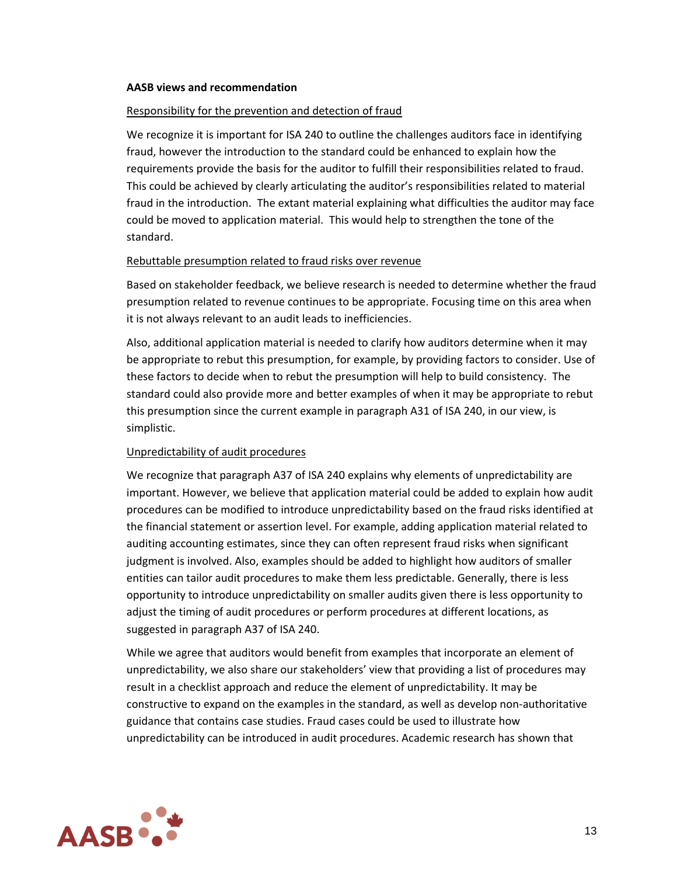#### **AASB views and recommendation**

#### Responsibility for the prevention and detection of fraud

We recognize it is important for ISA 240 to outline the challenges auditors face in identifying fraud, however the introduction to the standard could be enhanced to explain how the requirements provide the basis for the auditor to fulfill their responsibilities related to fraud. This could be achieved by clearly articulating the auditor's responsibilities related to material fraud in the introduction. The extant material explaining what difficulties the auditor may face could be moved to application material. This would help to strengthen the tone of the standard.

#### Rebuttable presumption related to fraud risks over revenue

Based on stakeholder feedback, we believe research is needed to determine whether the fraud presumption related to revenue continues to be appropriate. Focusing time on this area when it is not always relevant to an audit leads to inefficiencies.

Also, additional application material is needed to clarify how auditors determine when it may be appropriate to rebut this presumption, for example, by providing factors to consider. Use of these factors to decide when to rebut the presumption will help to build consistency. The standard could also provide more and better examples of when it may be appropriate to rebut this presumption since the current example in paragraph A31 of ISA 240, in our view, is simplistic.

## Unpredictability of audit procedures

We recognize that paragraph A37 of ISA 240 explains why elements of unpredictability are important. However, we believe that application material could be added to explain how audit procedures can be modified to introduce unpredictability based on the fraud risks identified at the financial statement or assertion level. For example, adding application material related to auditing accounting estimates, since they can often represent fraud risks when significant judgment is involved. Also, examples should be added to highlight how auditors of smaller entities can tailor audit procedures to make them less predictable. Generally, there is less opportunity to introduce unpredictability on smaller audits given there is less opportunity to adjust the timing of audit procedures or perform procedures at different locations, as suggested in paragraph A37 of ISA 240.

While we agree that auditors would benefit from examples that incorporate an element of unpredictability, we also share our stakeholders' view that providing a list of procedures may result in a checklist approach and reduce the element of unpredictability. It may be constructive to expand on the examples in the standard, as well as develop non-authoritative guidance that contains case studies. Fraud cases could be used to illustrate how unpredictability can be introduced in audit procedures. Academic research has shown that

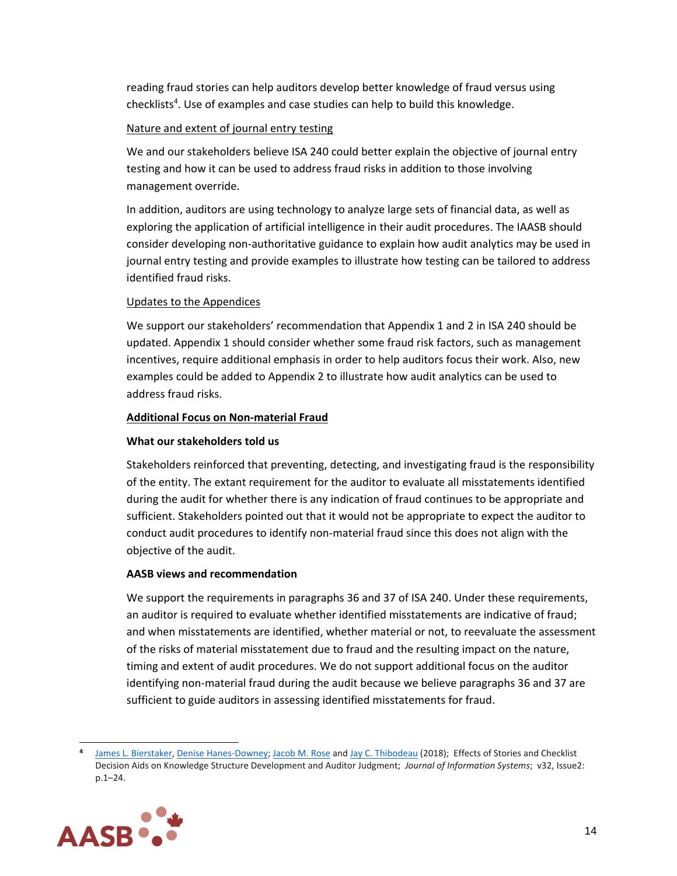reading fraud stories can help auditors develop better knowledge of fraud versus using checklists<sup>4</sup>. Use of examples and case studies can help to build this knowledge.

## Nature and extent of journal entry testing

We and our stakeholders believe ISA 240 could better explain the objective of journal entry testing and how it can be used to address fraud risks in addition to those involving management override.

In addition, auditors are using technology to analyze large sets of financial data, as well as exploring the application of artificial intelligence in their audit procedures. The IAASB should consider developing non-authoritative guidance to explain how audit analytics may be used in journal entry testing and provide examples to illustrate how testing can be tailored to address identified fraud risks.

## Updates to the Appendices

We support our stakeholders' recommendation that Appendix 1 and 2 in ISA 240 should be updated. Appendix 1 should consider whether some fraud risk factors, such as management incentives, require additional emphasis in order to help auditors focus their work. Also, new examples could be added to Appendix 2 to illustrate how audit analytics can be used to address fraud risks.

## **Additional Focus on Non-material Fraud**

## **What our stakeholders told us**

Stakeholders reinforced that preventing, detecting, and investigating fraud is the responsibility of the entity. The extant requirement for the auditor to evaluate all misstatements identified during the audit for whether there is any indication of fraud continues to be appropriate and sufficient. Stakeholders pointed out that it would not be appropriate to expect the auditor to conduct audit procedures to identify non-material fraud since this does not align with the objective of the audit.

# **AASB views and recommendation**

We support the requirements in paragraphs 36 and 37 of ISA 240. Under these requirements, an auditor is required to evaluate whether identified misstatements are indicative of fraud; and when misstatements are identified, whether material or not, to reevaluate the assessment of the risks of material misstatement due to fraud and the resulting impact on the nature, timing and extent of audit procedures. We do not support additional focus on the auditor identifying non-material fraud during the audit because we believe paragraphs 36 and 37 are sufficient to guide auditors in assessing identified misstatements for fraud.

**<sup>4</sup>** James L. [Bierstaker,](javascript:;) Denise [Hanes-Downey;](javascript:;) [Jacob](javascript:;) M. Rose and Jay C. [Thibodeau](javascript:;) (2018);Effects of Stories and Checklist Decision Aids on Knowledge Structure Development and Auditor Judgment;*Journal of Information Systems*; v32, Issue2: p.1–24.

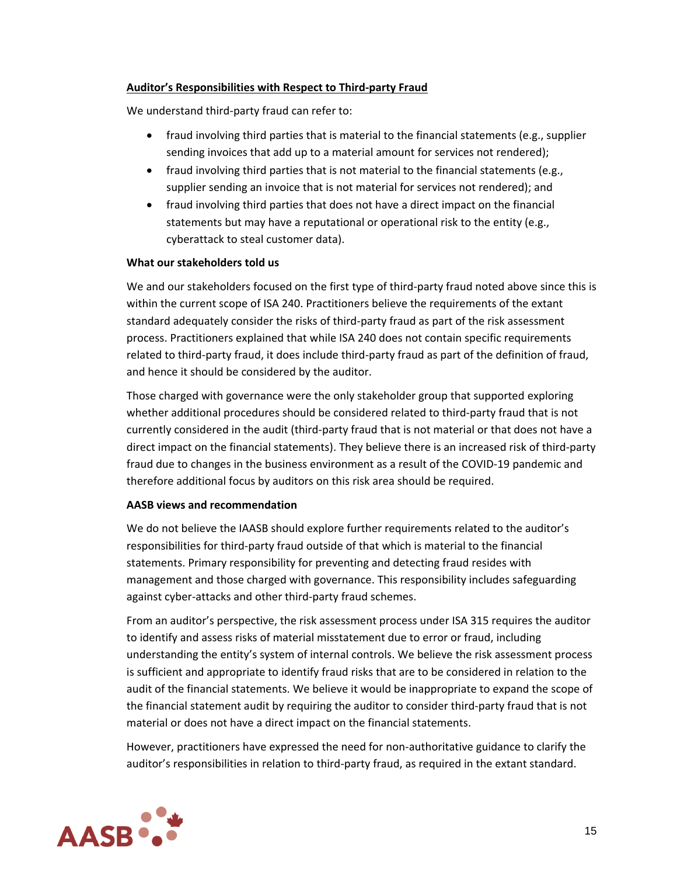## **Auditor's Responsibilities with Respect to Third-party Fraud**

We understand third-party fraud can refer to:

- fraud involving third parties that is material to the financial statements (e.g., supplier sending invoices that add up to a material amount for services not rendered);
- fraud involving third parties that is not material to the financial statements (e.g., supplier sending an invoice that is not material for services not rendered); and
- fraud involving third parties that does not have a direct impact on the financial statements but may have a reputational or operational risk to the entity (e.g., cyberattack to steal customer data).

## **What our stakeholders told us**

We and our stakeholders focused on the first type of third-party fraud noted above since this is within the current scope of ISA 240. Practitioners believe the requirements of the extant standard adequately consider the risks of third-party fraud as part of the risk assessment process. Practitioners explained that while ISA 240 does not contain specific requirements related to third-party fraud, it does include third-party fraud as part of the definition of fraud, and hence it should be considered by the auditor.

Those charged with governance were the only stakeholder group that supported exploring whether additional procedures should be considered related to third-party fraud that is not currently considered in the audit (third-party fraud that is not material or that does not have a direct impact on the financial statements). They believe there is an increased risk of third-party fraud due to changes in the business environment as a result of the COVID-19 pandemic and therefore additional focus by auditors on this risk area should be required.

# **AASB views and recommendation**

We do not believe the IAASB should explore further requirements related to the auditor's responsibilities for third-party fraud outside of that which is material to the financial statements. Primary responsibility for preventing and detecting fraud resides with management and those charged with governance. This responsibility includes safeguarding against cyber-attacks and other third-party fraud schemes.

From an auditor's perspective, the risk assessment process under ISA 315 requires the auditor to identify and assess risks of material misstatement due to error or fraud, including understanding the entity's system of internal controls. We believe the risk assessment process is sufficient and appropriate to identify fraud risks that are to be considered in relation to the audit of the financial statements. We believe it would be inappropriate to expand the scope of the financial statement audit by requiring the auditor to consider third-party fraud that is not material or does not have a direct impact on the financial statements.

However, practitioners have expressed the need for non-authoritative guidance to clarify the auditor's responsibilities in relation to third-party fraud, as required in the extant standard.

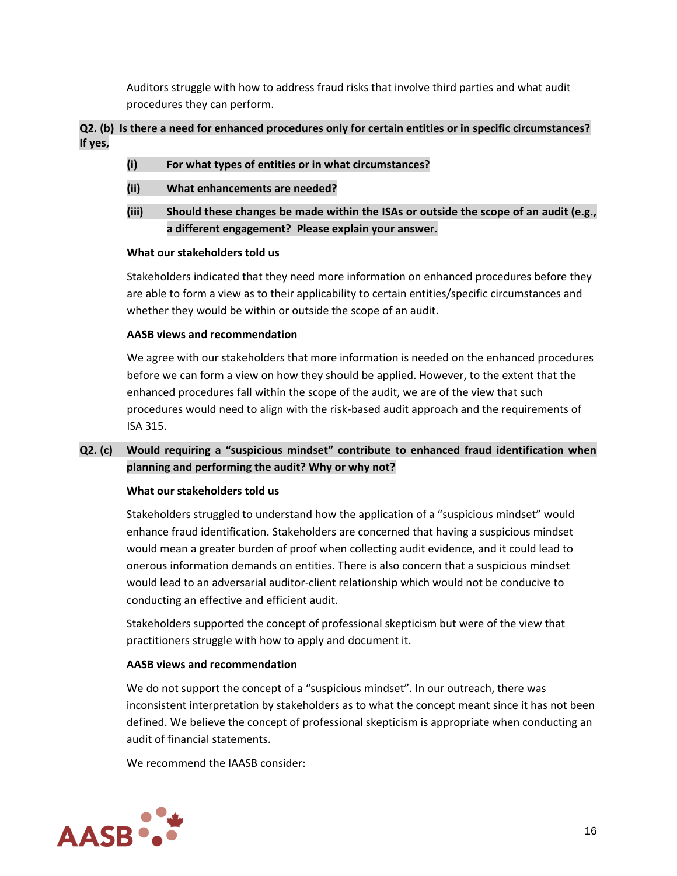Auditors struggle with how to address fraud risks that involve third parties and what audit procedures they can perform.

# **Q2***.* **(b) Is there a need for enhanced procedures only for certain entities or in specific circumstances? If yes,**

- **(i) For what types of entities or in what circumstances?**
- **(ii) What enhancements are needed?**
- **(iii) Should these changes be made within the ISAs or outside the scope of an audit (e.g., a different engagement? Please explain your answer.**

## **What our stakeholders told us**

Stakeholders indicated that they need more information on enhanced procedures before they are able to form a view as to their applicability to certain entities/specific circumstances and whether they would be within or outside the scope of an audit.

## **AASB views and recommendation**

We agree with our stakeholders that more information is needed on the enhanced procedures before we can form a view on how they should be applied. However, to the extent that the enhanced procedures fall within the scope of the audit, we are of the view that such procedures would need to align with the risk-based audit approach and the requirements of ISA 315.

# **Q2***.* **(c) Would requiring a "suspicious mindset" contribute to enhanced fraud identification when planning and performing the audit? Why or why not?**

# **What our stakeholders told us**

Stakeholders struggled to understand how the application of a "suspicious mindset" would enhance fraud identification. Stakeholders are concerned that having a suspicious mindset would mean a greater burden of proof when collecting audit evidence, and it could lead to onerous information demands on entities. There is also concern that a suspicious mindset would lead to an adversarial auditor-client relationship which would not be conducive to conducting an effective and efficient audit.

Stakeholders supported the concept of professional skepticism but were of the view that practitioners struggle with how to apply and document it.

## **AASB views and recommendation**

We do not support the concept of a "suspicious mindset". In our outreach, there was inconsistent interpretation by stakeholders as to what the concept meant since it has not been defined. We believe the concept of professional skepticism is appropriate when conducting an audit of financial statements.

We recommend the IAASB consider:

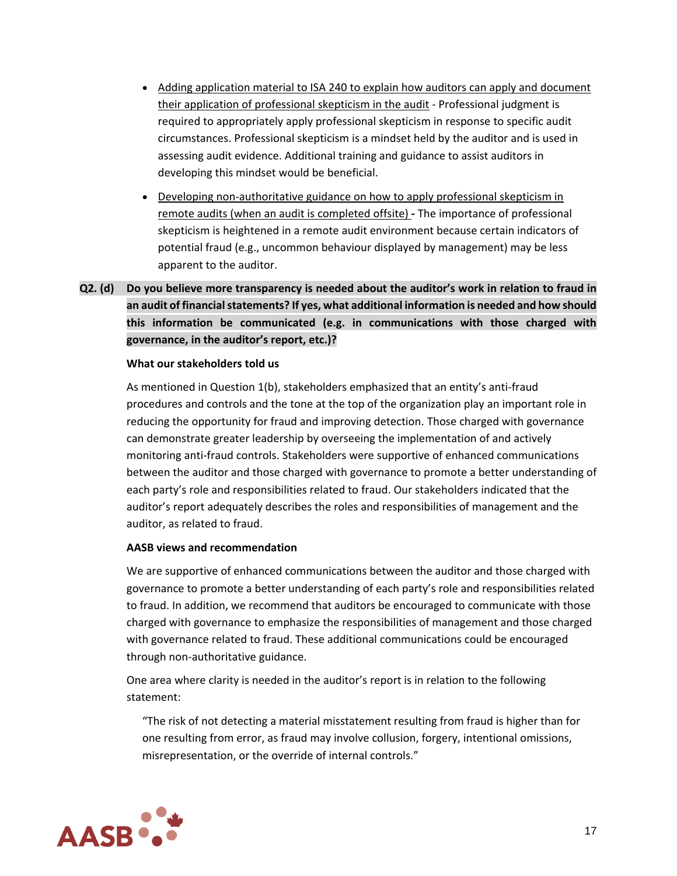- Adding application material to ISA 240 to explain how auditors can apply and document their application of professional skepticism in the audit - Professional judgment is required to appropriately apply professional skepticism in response to specific audit circumstances. Professional skepticism is a mindset held by the auditor and is used in assessing audit evidence. Additional training and guidance to assist auditors in developing this mindset would be beneficial.
- Developing non-authoritative guidance on how to apply professional skepticism in remote audits (when an audit is completed offsite) **-** The importance of professional skepticism is heightened in a remote audit environment because certain indicators of potential fraud (e.g., uncommon behaviour displayed by management) may be less apparent to the auditor.

# **Q2***.* **(d) Do you believe more transparency is needed about the auditor's work in relation to fraud in an audit of financial statements? If yes, what additional information is needed and how should this information be communicated (e.g. in communications with those charged with governance, in the auditor's report, etc.)?**

## **What our stakeholders told us**

As mentioned in Question 1(b), stakeholders emphasized that an entity's anti-fraud procedures and controls and the tone at the top of the organization play an important role in reducing the opportunity for fraud and improving detection. Those charged with governance can demonstrate greater leadership by overseeing the implementation of and actively monitoring anti-fraud controls. Stakeholders were supportive of enhanced communications between the auditor and those charged with governance to promote a better understanding of each party's role and responsibilities related to fraud. Our stakeholders indicated that the auditor's report adequately describes the roles and responsibilities of management and the auditor, as related to fraud.

## **AASB views and recommendation**

We are supportive of enhanced communications between the auditor and those charged with governance to promote a better understanding of each party's role and responsibilities related to fraud. In addition, we recommend that auditors be encouraged to communicate with those charged with governance to emphasize the responsibilities of management and those charged with governance related to fraud. These additional communications could be encouraged through non-authoritative guidance.

One area where clarity is needed in the auditor's report is in relation to the following statement:

"The risk of not detecting a material misstatement resulting from fraud is higher than for one resulting from error, as fraud may involve collusion, forgery, intentional omissions, misrepresentation, or the override of internal controls."

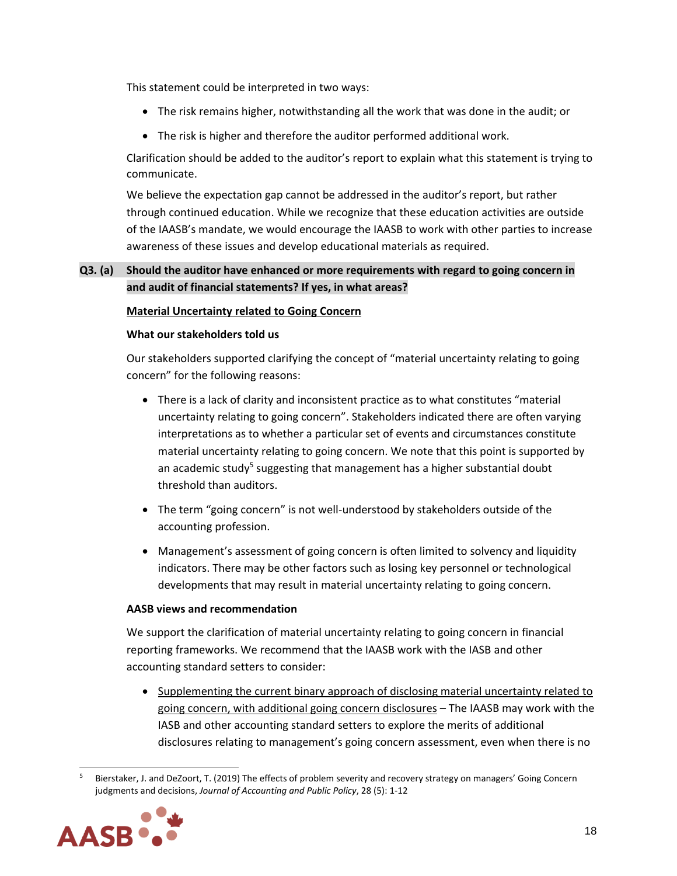This statement could be interpreted in two ways:

- The risk remains higher, notwithstanding all the work that was done in the audit; or
- The risk is higher and therefore the auditor performed additional work.

Clarification should be added to the auditor's report to explain what this statement is trying to communicate.

We believe the expectation gap cannot be addressed in the auditor's report, but rather through continued education. While we recognize that these education activities are outside of the IAASB's mandate, we would encourage the IAASB to work with other parties to increase awareness of these issues and develop educational materials as required.

# **Q3***.* **(a) Should the auditor have enhanced or more requirements with regard to going concern in and audit of financial statements? If yes, in what areas?**

## **Material Uncertainty related to Going Concern**

## **What our stakeholders told us**

Our stakeholders supported clarifying the concept of "material uncertainty relating to going concern" for the following reasons:

- There is a lack of clarity and inconsistent practice as to what constitutes "material uncertainty relating to going concern". Stakeholders indicated there are often varying interpretations as to whether a particular set of events and circumstances constitute material uncertainty relating to going concern. We note that this point is supported by an academic study<sup>5</sup> suggesting that management has a higher substantial doubt threshold than auditors.
- The term "going concern" is not well-understood by stakeholders outside of the accounting profession.
- Management's assessment of going concern is often limited to solvency and liquidity indicators. There may be other factors such as losing key personnel or technological developments that may result in material uncertainty relating to going concern.

## **AASB views and recommendation**

We support the clarification of material uncertainty relating to going concern in financial reporting frameworks. We recommend that the IAASB work with the IASB and other accounting standard setters to consider:

• Supplementing the current binary approach of disclosing material uncertainty related to going concern, with additional going concern disclosures – The IAASB may work with the IASB and other accounting standard setters to explore the merits of additional disclosures relating to management's going concern assessment, even when there is no

<sup>5</sup> Bierstaker, J. and DeZoort, T. (2019) The effects of problem severity and recovery strategy on managers' Going Concern judgments and decisions, *Journal of Accounting and Public Policy*, 28 (5): 1-12

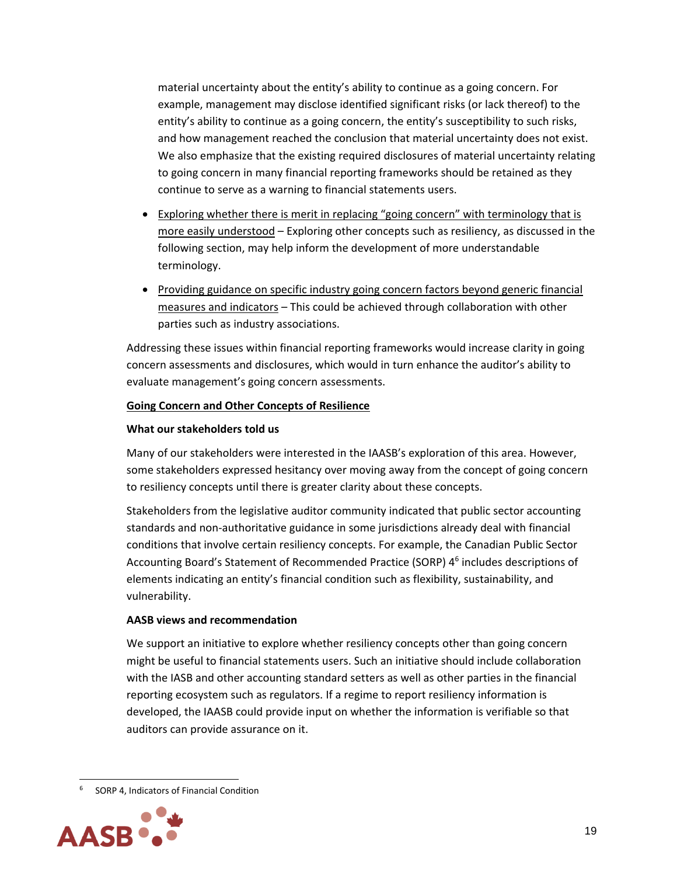material uncertainty about the entity's ability to continue as a going concern. For example, management may disclose identified significant risks (or lack thereof) to the entity's ability to continue as a going concern, the entity's susceptibility to such risks, and how management reached the conclusion that material uncertainty does not exist. We also emphasize that the existing required disclosures of material uncertainty relating to going concern in many financial reporting frameworks should be retained as they continue to serve as a warning to financial statements users.

- Exploring whether there is merit in replacing "going concern" with terminology that is more easily understood – Exploring other concepts such as resiliency, as discussed in the following section, may help inform the development of more understandable terminology.
- Providing guidance on specific industry going concern factors beyond generic financial measures and indicators – This could be achieved through collaboration with other parties such as industry associations.

Addressing these issues within financial reporting frameworks would increase clarity in going concern assessments and disclosures, which would in turn enhance the auditor's ability to evaluate management's going concern assessments.

## **Going Concern and Other Concepts of Resilience**

## **What our stakeholders told us**

Many of our stakeholders were interested in the IAASB's exploration of this area. However, some stakeholders expressed hesitancy over moving away from the concept of going concern to resiliency concepts until there is greater clarity about these concepts.

Stakeholders from the legislative auditor community indicated that public sector accounting standards and non-authoritative guidance in some jurisdictions already deal with financial conditions that involve certain resiliency concepts. For example, the Canadian Public Sector Accounting Board's Statement of Recommended Practice (SORP) 4<sup>6</sup> includes descriptions of elements indicating an entity's financial condition such as flexibility, sustainability, and vulnerability.

# **AASB views and recommendation**

We support an initiative to explore whether resiliency concepts other than going concern might be useful to financial statements users. Such an initiative should include collaboration with the IASB and other accounting standard setters as well as other parties in the financial reporting ecosystem such as regulators. If a regime to report resiliency information is developed, the IAASB could provide input on whether the information is verifiable so that auditors can provide assurance on it.

<sup>&</sup>lt;sup>6</sup> SORP 4, Indicators of Financial Condition

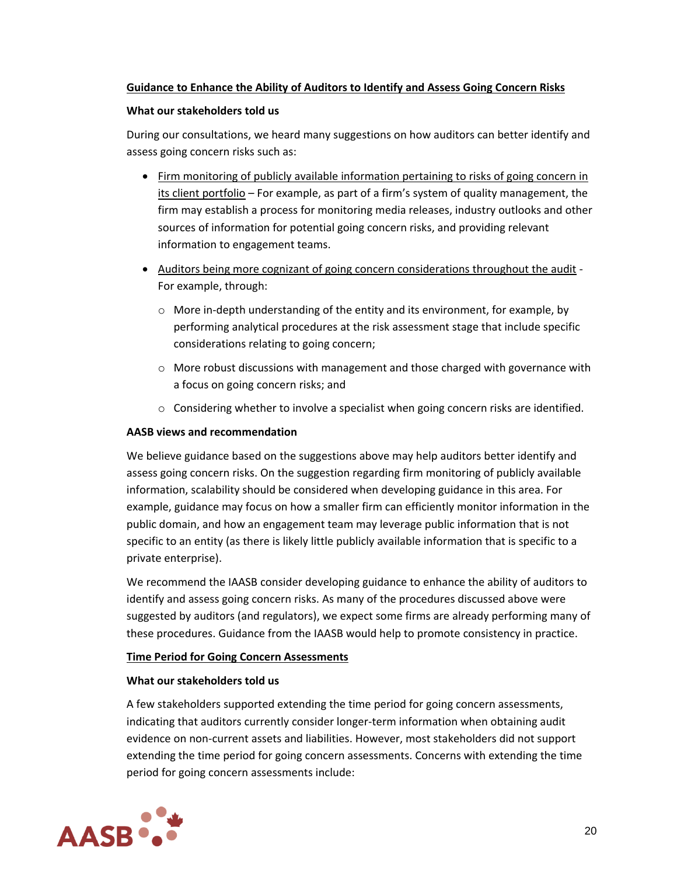## **Guidance to Enhance the Ability of Auditors to Identify and Assess Going Concern Risks**

#### **What our stakeholders told us**

During our consultations, we heard many suggestions on how auditors can better identify and assess going concern risks such as:

- Firm monitoring of publicly available information pertaining to risks of going concern in its client portfolio – For example, as part of a firm's system of quality management, the firm may establish a process for monitoring media releases, industry outlooks and other sources of information for potential going concern risks, and providing relevant information to engagement teams.
- Auditors being more cognizant of going concern considerations throughout the audit For example, through:
	- o More in-depth understanding of the entity and its environment, for example, by performing analytical procedures at the risk assessment stage that include specific considerations relating to going concern;
	- $\circ$  More robust discussions with management and those charged with governance with a focus on going concern risks; and
	- $\circ$  Considering whether to involve a specialist when going concern risks are identified.

## **AASB views and recommendation**

We believe guidance based on the suggestions above may help auditors better identify and assess going concern risks. On the suggestion regarding firm monitoring of publicly available information, scalability should be considered when developing guidance in this area. For example, guidance may focus on how a smaller firm can efficiently monitor information in the public domain, and how an engagement team may leverage public information that is not specific to an entity (as there is likely little publicly available information that is specific to a private enterprise).

We recommend the IAASB consider developing guidance to enhance the ability of auditors to identify and assess going concern risks. As many of the procedures discussed above were suggested by auditors (and regulators), we expect some firms are already performing many of these procedures. Guidance from the IAASB would help to promote consistency in practice.

## **Time Period for Going Concern Assessments**

## **What our stakeholders told us**

A few stakeholders supported extending the time period for going concern assessments, indicating that auditors currently consider longer-term information when obtaining audit evidence on non-current assets and liabilities. However, most stakeholders did not support extending the time period for going concern assessments. Concerns with extending the time period for going concern assessments include:

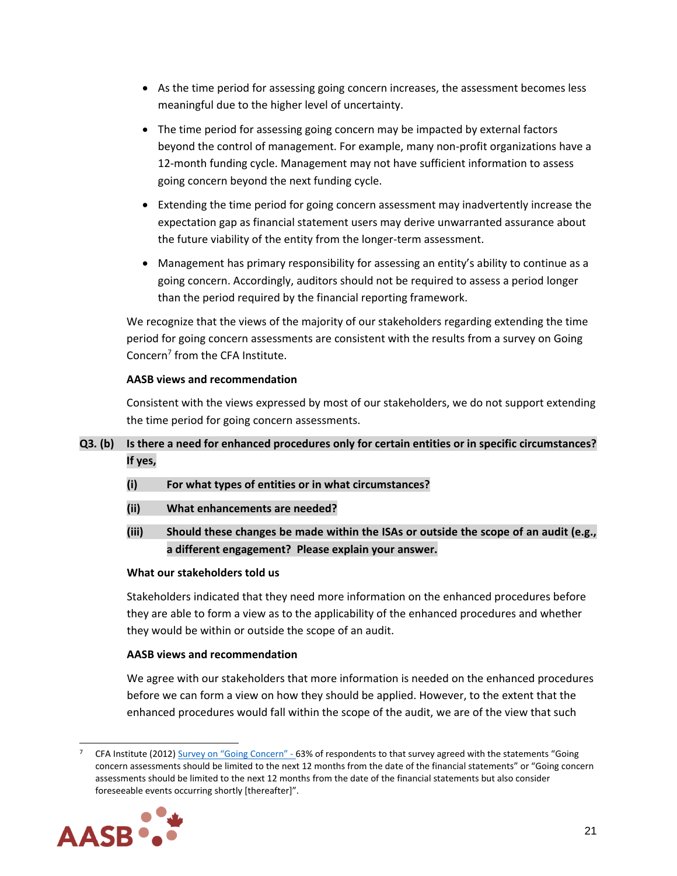- As the time period for assessing going concern increases, the assessment becomes less meaningful due to the higher level of uncertainty.
- The time period for assessing going concern may be impacted by external factors beyond the control of management. For example, many non-profit organizations have a 12-month funding cycle. Management may not have sufficient information to assess going concern beyond the next funding cycle.
- Extending the time period for going concern assessment may inadvertently increase the expectation gap as financial statement users may derive unwarranted assurance about the future viability of the entity from the longer-term assessment.
- Management has primary responsibility for assessing an entity's ability to continue as a going concern. Accordingly, auditors should not be required to assess a period longer than the period required by the financial reporting framework.

We recognize that the views of the majority of our stakeholders regarding extending the time period for going concern assessments are consistent with the results from a survey on Going Concern<sup>7</sup> from the CFA Institute.

# **AASB views and recommendation**

Consistent with the views expressed by most of our stakeholders, we do not support extending the time period for going concern assessments.

# **Q3***.* **(b) Is there a need for enhanced procedures only for certain entities or in specific circumstances? If yes,**

- **(i) For what types of entities or in what circumstances?**
- **(ii) What enhancements are needed?**
- **(iii) Should these changes be made within the ISAs or outside the scope of an audit (e.g., a different engagement? Please explain your answer.**

# **What our stakeholders told us**

Stakeholders indicated that they need more information on the enhanced procedures before they are able to form a view as to the applicability of the enhanced procedures and whether they would be within or outside the scope of an audit.

# **AASB views and recommendation**

We agree with our stakeholders that more information is needed on the enhanced procedures before we can form a view on how they should be applied. However, to the extent that the enhanced procedures would fall within the scope of the audit, we are of the view that such

CFA Institute (2012) [Survey on "Going Concern"](https://www.cfainstitute.org/-/media/80CB5D87DF2843F0BBDC216A3025CC54.ashx) - 63% of respondents to that survey agreed with the statements "Going concern assessments should be limited to the next 12 months from the date of the financial statements" or "Going concern assessments should be limited to the next 12 months from the date of the financial statements but also consider foreseeable events occurring shortly [thereafter]".

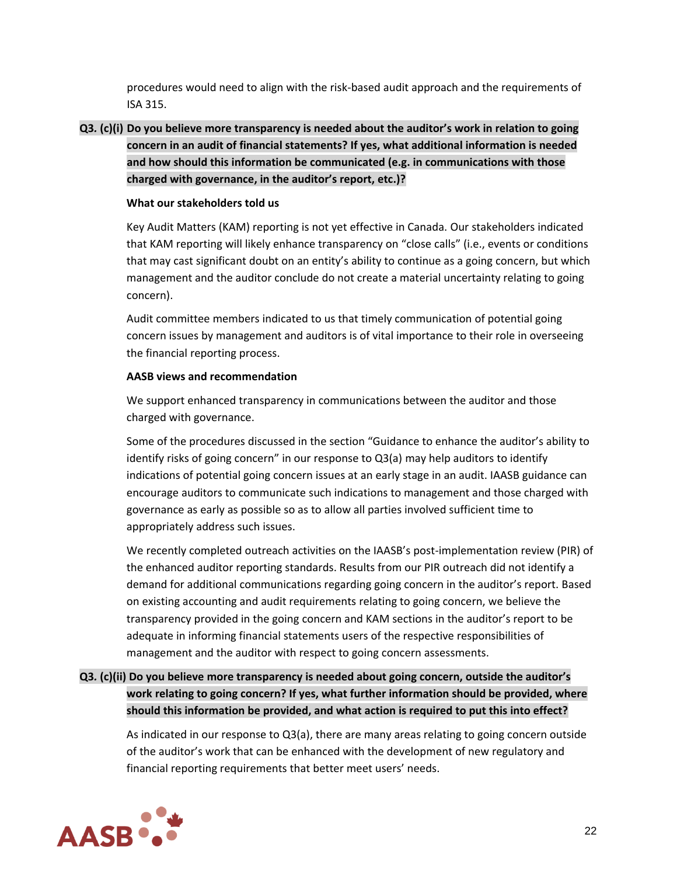procedures would need to align with the risk-based audit approach and the requirements of ISA 315.

**Q3***.* **(c)(i) Do you believe more transparency is needed about the auditor's work in relation to going concern in an audit of financial statements? If yes, what additional information is needed and how should this information be communicated (e.g. in communications with those charged with governance, in the auditor's report, etc.)?**

## **What our stakeholders told us**

Key Audit Matters (KAM) reporting is not yet effective in Canada. Our stakeholders indicated that KAM reporting will likely enhance transparency on "close calls" (i.e., events or conditions that may cast significant doubt on an entity's ability to continue as a going concern, but which management and the auditor conclude do not create a material uncertainty relating to going concern).

Audit committee members indicated to us that timely communication of potential going concern issues by management and auditors is of vital importance to their role in overseeing the financial reporting process.

# **AASB views and recommendation**

We support enhanced transparency in communications between the auditor and those charged with governance.

Some of the procedures discussed in the section "Guidance to enhance the auditor's ability to identify risks of going concern" in our response to Q3(a) may help auditors to identify indications of potential going concern issues at an early stage in an audit. IAASB guidance can encourage auditors to communicate such indications to management and those charged with governance as early as possible so as to allow all parties involved sufficient time to appropriately address such issues.

We recently completed outreach activities on the IAASB's post-implementation review (PIR) of the enhanced auditor reporting standards. Results from our PIR outreach did not identify a demand for additional communications regarding going concern in the auditor's report. Based on existing accounting and audit requirements relating to going concern, we believe the transparency provided in the going concern and KAM sections in the auditor's report to be adequate in informing financial statements users of the respective responsibilities of management and the auditor with respect to going concern assessments.

# **Q3***.* **(c)(ii) Do you believe more transparency is needed about going concern, outside the auditor's work relating to going concern? If yes, what further information should be provided, where should this information be provided, and what action is required to put this into effect?**

As indicated in our response to Q3(a), there are many areas relating to going concern outside of the auditor's work that can be enhanced with the development of new regulatory and financial reporting requirements that better meet users' needs.